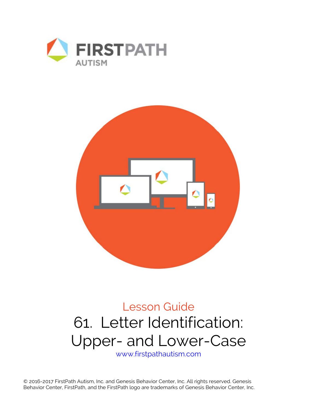



# Lesson Guide 61. Letter Identification: Upper- and Lower-Case

www.firstpathautism.com

© 2016-2017 FirstPath Autism, Inc. and Genesis Behavior Center, Inc. All rights reserved. Genesis Behavior Center, FirstPath, and the FirstPath logo are trademarks of Genesis Behavior Center, Inc.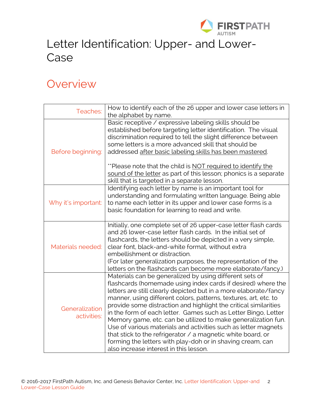

## Letter Identification: Upper- and Lower-Case

### **Overview**

| Teaches:                      | How to identify each of the 26 upper and lower case letters in<br>the alphabet by name.                                                                                                                                                                                                                                                                                                                                                                                                                                                                                                                                                                                                                         |
|-------------------------------|-----------------------------------------------------------------------------------------------------------------------------------------------------------------------------------------------------------------------------------------------------------------------------------------------------------------------------------------------------------------------------------------------------------------------------------------------------------------------------------------------------------------------------------------------------------------------------------------------------------------------------------------------------------------------------------------------------------------|
| Before beginning:             | Basic receptive / expressive labeling skills should be<br>established before targeting letter identification. The visual<br>discrimination required to tell the slight difference between<br>some letters is a more advanced skill that should be<br>addressed after basic labeling skills has been mastered.<br>**Please note that the child is NOT required to identify the<br>sound of the letter as part of this lesson; phonics is a separate                                                                                                                                                                                                                                                              |
|                               | skill that is targeted in a separate lesson.                                                                                                                                                                                                                                                                                                                                                                                                                                                                                                                                                                                                                                                                    |
| Why it's important:           | Identifying each letter by name is an important tool for<br>understanding and formulating written language. Being able<br>to name each letter in its upper and lower case forms is a<br>basic foundation for learning to read and write.                                                                                                                                                                                                                                                                                                                                                                                                                                                                        |
| Materials needed:             | Initially, one complete set of 26 upper-case letter flash cards<br>and 26 lower-case letter flash cards. In the initial set of<br>flashcards, the letters should be depicted in a very simple,<br>clear font, black-and-white format, without extra<br>embellishment or distraction.<br>(For later generalization purposes, the representation of the<br>letters on the flashcards can become more elaborate/fancy.)                                                                                                                                                                                                                                                                                            |
| Generalization<br>activities: | Materials can be generalized by using different sets of<br>flashcards (homemade using index cards if desired) where the<br>letters are still clearly depicted but in a more elaborate/fancy<br>manner, using different colors, patterns, textures, art, etc. to<br>provide some distraction and highlight the critical similarities<br>in the form of each letter. Games such as Letter Bingo, Letter<br>Memory game, etc. can be utilized to make generalization fun.<br>Use of various materials and activities such as letter magnets<br>that stick to the refrigerator / a magnetic white board, or<br>forming the letters with play-doh or in shaving cream, can<br>also increase interest in this lesson. |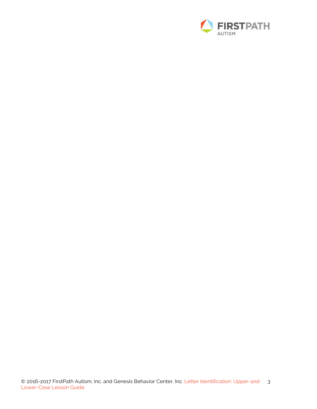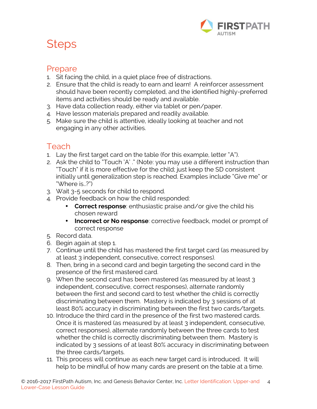

### Steps

#### Prepare

- 1. Sit facing the child, in a quiet place free of distractions.
- 2. Ensure that the child is ready to earn and learn! A reinforcer assessment should have been recently completed, and the identified highly-preferred items and activities should be ready and available.
- 3. Have data collection ready, either via tablet or pen/paper.
- 4. Have lesson materials prepared and readily available.
- 5. Make sure the child is attentive, ideally looking at teacher and not engaging in any other activities.

#### Teach

- 1. Lay the first target card on the table (for this example, letter "A").
- 2. Ask the child to "Touch 'A' ." (Note: you may use a different instruction than "Touch" if it is more effective for the child; just keep the SD consistent initially until generalization step is reached. Examples include "Give me" or "Where is..?")
- 3. Wait 3-5 seconds for child to respond.
- 4. Provide feedback on how the child responded:
	- **Correct response**: enthusiastic praise and/or give the child his chosen reward
	- **Incorrect or No response**: corrective feedback, model or prompt of correct response
- 5. Record data.
- 6. Begin again at step 1.
- 7. Continue until the child has mastered the first target card (as measured by at least 3 independent, consecutive, correct responses).
- 8. Then, bring in a second card and begin targeting the second card in the presence of the first mastered card.
- 9. When the second card has been mastered (as measured by at least 3 independent, consecutive, correct responses), alternate randomly between the first and second card to test whether the child is correctly discriminating between them. Mastery is indicated by 3 sessions of at least 80% accuracy in discriminating between the first two cards/targets.
- 10. Introduce the third card in the presence of the first two mastered cards. Once it is mastered (as measured by at least 3 independent, consecutive, correct responses), alternate randomly between the three cards to test whether the child is correctly discriminating between them. Mastery is indicated by 3 sessions of at least 80% accuracy in discriminating between the three cards/targets.
- 11. This process will continue as each new target card is introduced. It will help to be mindful of how many cards are present on the table at a time.